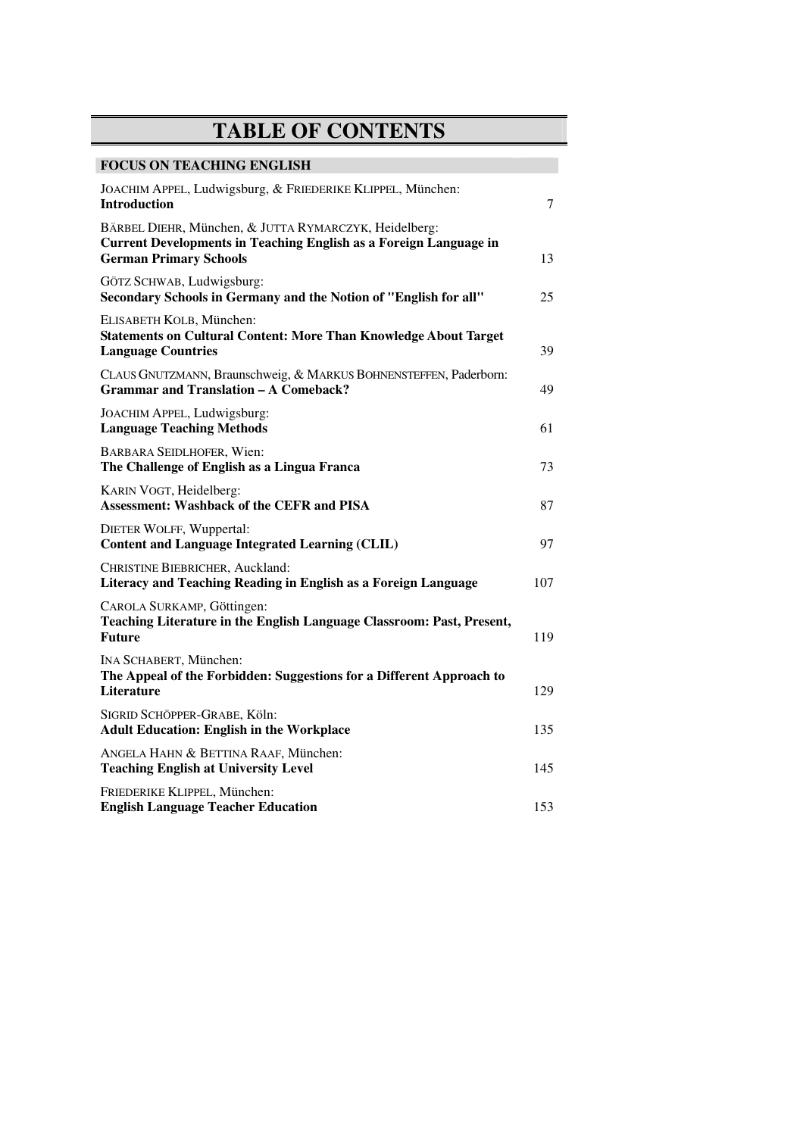## **TABLE OF CONTENTS**

## **FOCUS ON TEACHING ENGLISH**

| JOACHIM APPEL, Ludwigsburg, & FRIEDERIKE KLIPPEL, München:<br><b>Introduction</b>                                                                                  | 7   |
|--------------------------------------------------------------------------------------------------------------------------------------------------------------------|-----|
| BÄRBEL DIEHR, München, & JUTTA RYMARCZYK, Heidelberg:<br><b>Current Developments in Teaching English as a Foreign Language in</b><br><b>German Primary Schools</b> | 13  |
| GÖTZ SCHWAB, Ludwigsburg:<br>Secondary Schools in Germany and the Notion of "English for all"                                                                      | 25  |
| ELISABETH KOLB, München:<br><b>Statements on Cultural Content: More Than Knowledge About Target</b><br><b>Language Countries</b>                                   | 39  |
| CLAUS GNUTZMANN, Braunschweig, & MARKUS BOHNENSTEFFEN, Paderborn:<br><b>Grammar and Translation - A Comeback?</b>                                                  | 49  |
| JOACHIM APPEL, Ludwigsburg:<br><b>Language Teaching Methods</b>                                                                                                    | 61  |
| <b>BARBARA SEIDLHOFER, Wien:</b><br>The Challenge of English as a Lingua Franca                                                                                    | 73  |
| KARIN VOGT, Heidelberg:<br><b>Assessment: Washback of the CEFR and PISA</b>                                                                                        | 87  |
| <b>DIETER WOLFF, Wuppertal:</b><br><b>Content and Language Integrated Learning (CLIL)</b>                                                                          | 97  |
| CHRISTINE BIEBRICHER, Auckland:<br>Literacy and Teaching Reading in English as a Foreign Language                                                                  | 107 |
| CAROLA SURKAMP, Göttingen:<br>Teaching Literature in the English Language Classroom: Past, Present,<br><b>Future</b>                                               | 119 |
| INA SCHABERT, München:<br>The Appeal of the Forbidden: Suggestions for a Different Approach to<br><b>Literature</b>                                                | 129 |
| SIGRID SCHÖPPER-GRABE, Köln:<br><b>Adult Education: English in the Workplace</b>                                                                                   | 135 |
| ANGELA HAHN & BETTINA RAAF, München:<br><b>Teaching English at University Level</b>                                                                                | 145 |
| FRIEDERIKE KLIPPEL, München:<br><b>English Language Teacher Education</b>                                                                                          | 153 |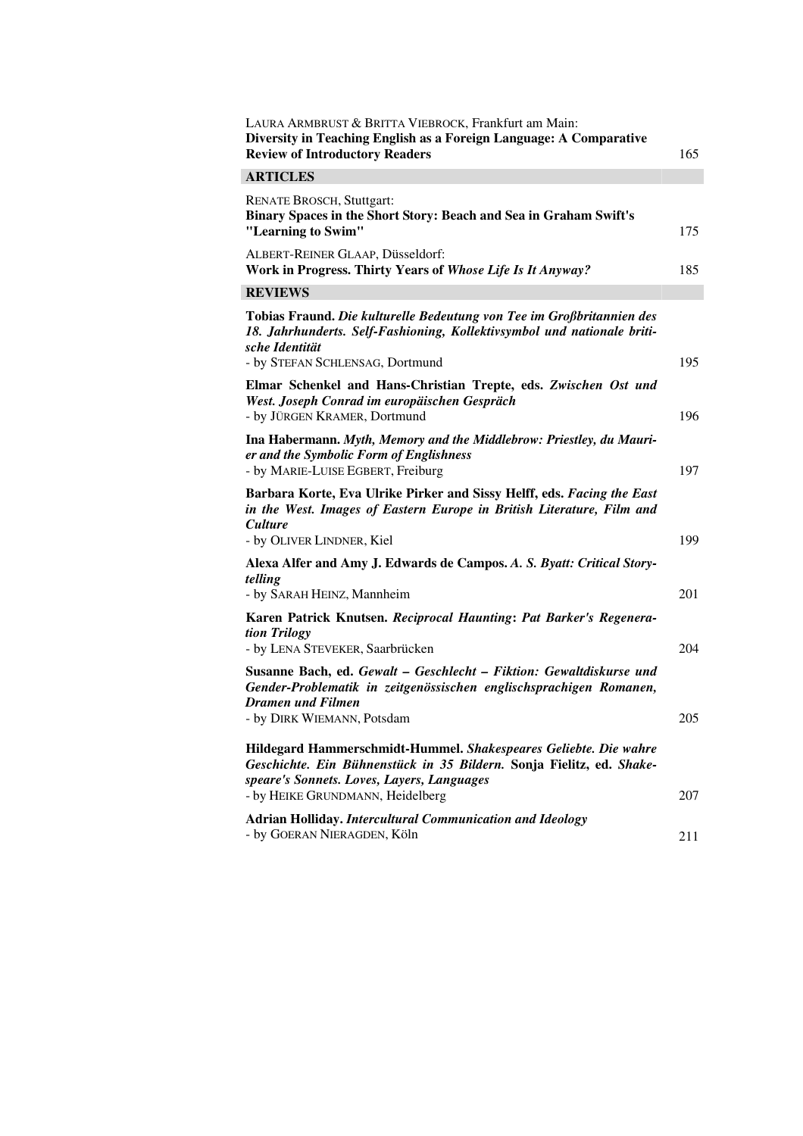| LAURA ARMBRUST & BRITTA VIEBROCK, Frankfurt am Main:<br>Diversity in Teaching English as a Foreign Language: A Comparative<br><b>Review of Introductory Readers</b>                                                        | 165 |
|----------------------------------------------------------------------------------------------------------------------------------------------------------------------------------------------------------------------------|-----|
| <b>ARTICLES</b>                                                                                                                                                                                                            |     |
| <b>RENATE BROSCH, Stuttgart:</b><br>Binary Spaces in the Short Story: Beach and Sea in Graham Swift's<br>"Learning to Swim"                                                                                                | 175 |
| ALBERT-REINER GLAAP, Düsseldorf:<br>Work in Progress. Thirty Years of Whose Life Is It Anyway?                                                                                                                             | 185 |
| <b>REVIEWS</b>                                                                                                                                                                                                             |     |
| Tobias Fraund. Die kulturelle Bedeutung von Tee im Großbritannien des<br>18. Jahrhunderts. Self-Fashioning, Kollektivsymbol und nationale briti-<br>sche Identität<br>- by STEFAN SCHLENSAG, Dortmund                      | 195 |
| Elmar Schenkel and Hans-Christian Trepte, eds. Zwischen Ost und<br>West. Joseph Conrad im europäischen Gespräch<br>- by JÜRGEN KRAMER, Dortmund                                                                            | 196 |
| Ina Habermann. Myth, Memory and the Middlebrow: Priestley, du Mauri-<br>er and the Symbolic Form of Englishness<br>- by MARIE-LUISE EGBERT, Freiburg                                                                       | 197 |
| Barbara Korte, Eva Ulrike Pirker and Sissy Helff, eds. Facing the East<br>in the West. Images of Eastern Europe in British Literature, Film and<br><b>Culture</b>                                                          |     |
| - by OLIVER LINDNER, Kiel                                                                                                                                                                                                  | 199 |
| Alexa Alfer and Amy J. Edwards de Campos. A. S. Byatt: Critical Story-<br>telling<br>- by SARAH HEINZ, Mannheim                                                                                                            | 201 |
| Karen Patrick Knutsen. Reciprocal Haunting: Pat Barker's Regenera-<br>tion Trilogy                                                                                                                                         |     |
| - by LENA STEVEKER, Saarbrücken<br>Susanne Bach, ed. Gewalt – Geschlecht – Fiktion: Gewaltdiskurse und<br>Gender-Problematik in zeitgenössischen englischsprachigen Romanen,<br>Dramen und Filmen                          | 204 |
| - by DIRK WIEMANN, Potsdam                                                                                                                                                                                                 | 205 |
| Hildegard Hammerschmidt-Hummel. Shakespeares Geliebte. Die wahre<br>Geschichte. Ein Bühnenstück in 35 Bildern. Sonja Fielitz, ed. Shake-<br>speare's Sonnets. Loves, Layers, Languages<br>- by HEIKE GRUNDMANN, Heidelberg | 207 |
| <b>Adrian Holliday. Intercultural Communication and Ideology</b><br>- by GOERAN NIERAGDEN, Köln                                                                                                                            | 211 |